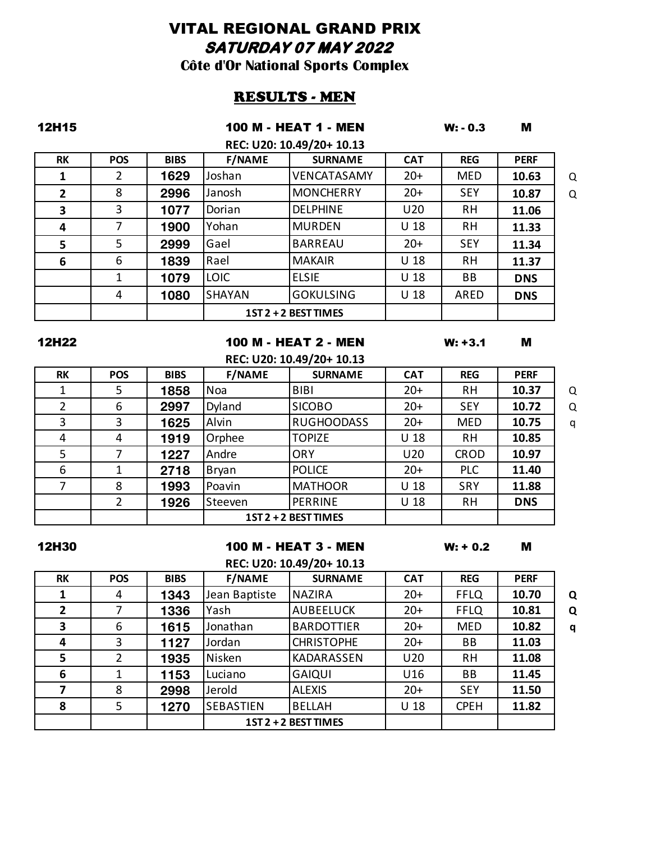# VITAL REGIONAL GRAND PRIX **SATURDAY 07 MAY 2022**

**Côte d'Or National Sports Complex**

## RESULTS - MEN

### 12H15 W: - 0.3 M 100 M - HEAT 1 - MEN

| <b>F/NAME</b><br><b>POS</b><br><b>SURNAME</b><br><b>CAT</b><br><b>REG</b><br><b>BIBS</b><br><b>RK</b><br>VENCATASAMY<br>$20+$<br>1629<br>Joshan<br><b>MED</b><br>2<br>8<br><b>MONCHERRY</b><br>$20+$<br><b>SEY</b><br>Janosh<br>2996<br>$\mathbf{2}$<br>3<br>U20<br><b>DELPHINE</b><br><b>RH</b><br>1077<br>Dorian<br>3<br><b>MURDEN</b><br>Yohan<br>U <sub>18</sub><br><b>RH</b><br>1900<br>4<br>5<br><b>BARREAU</b><br>Gael<br><b>SEY</b><br>$20+$<br>2999<br>5 | <b>PERF</b> |  | REC: U20: 10.49/20+ 10.13 |  |  |
|-------------------------------------------------------------------------------------------------------------------------------------------------------------------------------------------------------------------------------------------------------------------------------------------------------------------------------------------------------------------------------------------------------------------------------------------------------------------|-------------|--|---------------------------|--|--|
|                                                                                                                                                                                                                                                                                                                                                                                                                                                                   |             |  |                           |  |  |
|                                                                                                                                                                                                                                                                                                                                                                                                                                                                   | 10.63       |  |                           |  |  |
|                                                                                                                                                                                                                                                                                                                                                                                                                                                                   | 10.87       |  |                           |  |  |
|                                                                                                                                                                                                                                                                                                                                                                                                                                                                   | 11.06       |  |                           |  |  |
|                                                                                                                                                                                                                                                                                                                                                                                                                                                                   | 11.33       |  |                           |  |  |
|                                                                                                                                                                                                                                                                                                                                                                                                                                                                   | 11.34       |  |                           |  |  |
| <b>RH</b><br>6<br><b>MAKAIR</b><br>U <sub>18</sub><br>Rael<br>1839<br>6                                                                                                                                                                                                                                                                                                                                                                                           | 11.37       |  |                           |  |  |
| <b>LOIC</b><br>1079<br>U <sub>18</sub><br><b>ELSIE</b><br><b>BB</b><br>1                                                                                                                                                                                                                                                                                                                                                                                          | <b>DNS</b>  |  |                           |  |  |
| <b>SHAYAN</b><br><b>GOKULSING</b><br>U <sub>18</sub><br>ARED<br>4<br>1080                                                                                                                                                                                                                                                                                                                                                                                         | <b>DNS</b>  |  |                           |  |  |
| 1ST 2 + 2 BEST TIMES                                                                                                                                                                                                                                                                                                                                                                                                                                              |             |  |                           |  |  |

### 12H22 W: +3.1 M 100 M - HEAT 2 - MEN

## **RK POS BIBS F/NAME SURNAME CAT REG PERF** 1 5 **1858** Noa BIBI 20+ RH **10.37** Q 2 6 **2997** Dyland SICOBO 20+ SEY **10.72** Q 3 3 **1625** Alvin RUGHOODASS 20+ MED **10.75** q 4 4 **1919** Orphee TOPIZE U 18 RH **10.85** 5 7 **1227** Andre ORY U20 CROD **10.97** 6 1 **2718** Bryan POLICE 20+ PLC **11.40** 7 8 **1993** Poavin MATHOOR U 18 SRY **11.88** 2 **1926** Steeven PERRINE U 18 RH **DNS REC: U20: 10.49/20+ 10.13**

12H30 W: + 0.2 M 100 M - HEAT 3 - MEN

**REC: U20: 10.49/20+ 10.13**

**1ST 2 + 2 BEST TIMES**

| <b>RK</b> | <b>POS</b> | <b>BIBS</b> | <b>F/NAME</b> | <b>SURNAME</b>       | <b>CAT</b>      | <b>REG</b>  | <b>PERF</b> |   |
|-----------|------------|-------------|---------------|----------------------|-----------------|-------------|-------------|---|
| 1         | 4          | 1343        | Jean Baptiste | <b>NAZIRA</b>        | $20+$           | <b>FFLQ</b> | 10.70       | Q |
| 2         |            | 1336        | Yash          | <b>AUBEELUCK</b>     | $20+$           | <b>FFLQ</b> | 10.81       | Q |
| 3         | 6          | 1615        | Jonathan      | <b>BARDOTTIER</b>    | $20+$           | <b>MED</b>  | 10.82       | q |
| 4         | 3          | 1127        | Jordan        | <b>CHRISTOPHE</b>    | $20+$           | BB          | 11.03       |   |
| 5         | 2          | 1935        | Nisken        | <b>KADARASSEN</b>    | U20             | <b>RH</b>   | 11.08       |   |
| 6         |            | 1153        | Luciano       | <b>GAIQUI</b>        | U16             | BB          | 11.45       |   |
|           | 8          | 2998        | Jerold        | <b>ALEXIS</b>        | $20+$           | <b>SEY</b>  | 11.50       |   |
| 8         | 5          | 1270        | SEBASTIEN     | <b>BELLAH</b>        | U <sub>18</sub> | <b>CPEH</b> | 11.82       |   |
|           |            |             |               | 1ST 2 + 2 BEST TIMES |                 |             |             |   |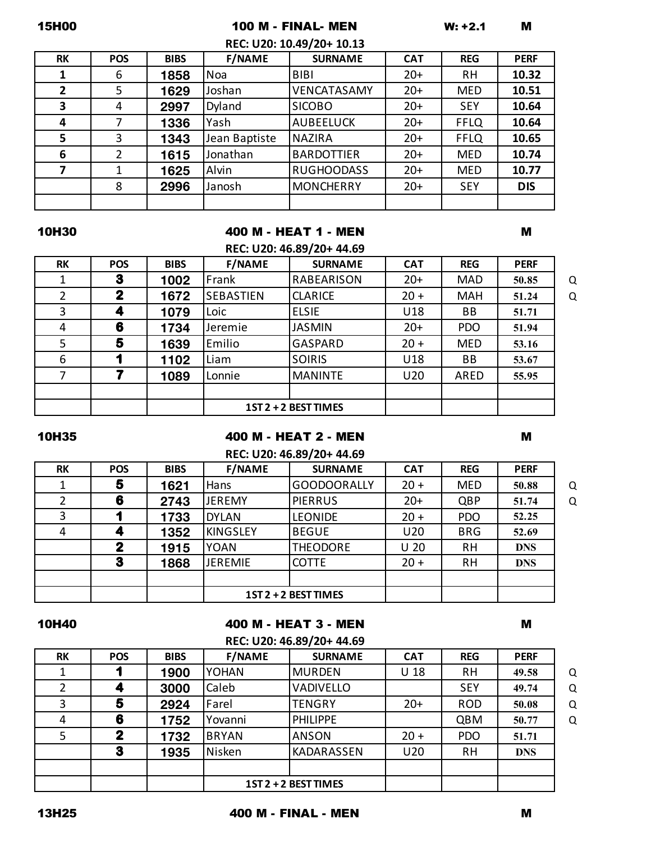## 15H00 W: +2.1 M 100 M - FINAL- MEN

|                                                                                                                      |                |      |               | REC: U20: 10.49/20+ 10.13 |       |             |            |  |  |  |
|----------------------------------------------------------------------------------------------------------------------|----------------|------|---------------|---------------------------|-------|-------------|------------|--|--|--|
| <b>F/NAME</b><br><b>SURNAME</b><br><b>POS</b><br><b>BIBS</b><br><b>CAT</b><br><b>REG</b><br><b>PERF</b><br><b>RK</b> |                |      |               |                           |       |             |            |  |  |  |
|                                                                                                                      | 6              | 1858 | Noa           | <b>BIBI</b>               | $20+$ | <b>RH</b>   | 10.32      |  |  |  |
| $\overline{2}$                                                                                                       | 5              | 1629 | Joshan        | VENCATASAMY               | $20+$ | <b>MED</b>  | 10.51      |  |  |  |
| 3                                                                                                                    | 4              | 2997 | Dyland        | <b>SICOBO</b>             | $20+$ | <b>SEY</b>  | 10.64      |  |  |  |
| 4                                                                                                                    |                | 1336 | Yash          | <b>AUBEELUCK</b>          | $20+$ | <b>FFLQ</b> | 10.64      |  |  |  |
| 5                                                                                                                    | 3              | 1343 | Jean Baptiste | <b>NAZIRA</b>             | $20+$ | <b>FFLQ</b> | 10.65      |  |  |  |
| 6                                                                                                                    | $\overline{2}$ | 1615 | Jonathan      | <b>BARDOTTIER</b>         | $20+$ | <b>MED</b>  | 10.74      |  |  |  |
|                                                                                                                      |                | 1625 | Alvin         | <b>RUGHOODASS</b>         | $20+$ | <b>MED</b>  | 10.77      |  |  |  |
|                                                                                                                      | 8              | 2996 | Janosh        | <b>MONCHERRY</b>          | $20+$ | <b>SEY</b>  | <b>DIS</b> |  |  |  |
|                                                                                                                      |                |      |               |                           |       |             |            |  |  |  |

#### 10H30 M 400 M - HEAT 1 - MEN

|                |              |             |                  | REC: U20: 46.89/20+ 44.69 |                 |            |             |
|----------------|--------------|-------------|------------------|---------------------------|-----------------|------------|-------------|
| <b>RK</b>      | <b>POS</b>   | <b>BIBS</b> | <b>F/NAME</b>    | <b>SURNAME</b>            | <b>CAT</b>      | <b>REG</b> | <b>PERF</b> |
| 1              | 3            | 1002        | Frank            | RABEARISON                | $20+$           | <b>MAD</b> | 50.85       |
| $\overline{2}$ | $\mathbf{2}$ | 1672        | <b>SEBASTIEN</b> | <b>CLARICE</b>            | $20 +$          | <b>MAH</b> | 51.24       |
| 3              | 4            | 1079        | Loic             | <b>ELSIE</b>              | U18             | BB         | 51.71       |
| 4              | 6            | 1734        | Jeremie          | <b>JASMIN</b>             | $20+$           | <b>PDO</b> | 51.94       |
| 5              | 5            | 1639        | Emilio           | GASPARD                   | $20 +$          | <b>MED</b> | 53.16       |
| 6              |              | 1102        | Liam             | <b>SOIRIS</b>             | U18             | BB         | 53.67       |
| 7              | 7            | 1089        | Lonnie           | <b>MANINTE</b>            | U <sub>20</sub> | ARED       | 55.95       |
|                |              |             |                  | 1ST 2 + 2 BEST TIMES      |                 |            |             |

## 10H35 M 400 M - HEAT 2 - MEN

|           |              |             |                 | REC: U20: 46.89/20+ 44.69 |                 |            |             |   |
|-----------|--------------|-------------|-----------------|---------------------------|-----------------|------------|-------------|---|
| <b>RK</b> | <b>POS</b>   | <b>BIBS</b> | <b>F/NAME</b>   | <b>SURNAME</b>            | <b>CAT</b>      | <b>REG</b> | <b>PERF</b> |   |
|           | 5            | 1621        | Hans            | <b>GOODOORALLY</b>        | $20 +$          | <b>MED</b> | 50.88       | Q |
|           | 6            | 2743        | <b>JEREMY</b>   | <b>PIERRUS</b>            | $20+$           | QBP        | 51.74       | Q |
| 3         |              | 1733        | <b>DYLAN</b>    | <b>LEONIDE</b>            | $20 +$          | <b>PDO</b> | 52.25       |   |
| 4         |              | 1352        | <b>KINGSLEY</b> | <b>BEGUE</b>              | U <sub>20</sub> | <b>BRG</b> | 52.69       |   |
|           | $\mathbf{2}$ | 1915        | <b>YOAN</b>     | <b>THEODORE</b>           | U <sub>20</sub> | <b>RH</b>  | <b>DNS</b>  |   |
|           | 3            | 1868        | <b>JEREMIE</b>  | <b>COTTE</b>              | $20 +$          | <b>RH</b>  | <b>DNS</b>  |   |
|           |              |             |                 |                           |                 |            |             |   |
|           |              |             |                 | 1ST 2 + 2 BEST TIMES      |                 |            |             |   |

### 10H40 M 400 M - HEAT 3 - MEN

**REC: U20: 46.89/20+ 44.69**

**RK POS BIBS F/NAME SURNAME CAT REG PERF 1 1900** YOHAN MURDEN U 18 RH **49.58** Q **4 3000** Caleb VADIVELLO SEY **49.74** Q **5 2924** Farel TENGRY 20+ ROD **50.08** Q **6 1752** Yovanni PHILIPPE QBM **50.77** Q **2 | 1732** BRYAN | ANSON | 20 + | PDO | 51.71 **1935** Nisken KADARASSEN U20 RH **DNS 1ST 2 + 2 BEST TIMES**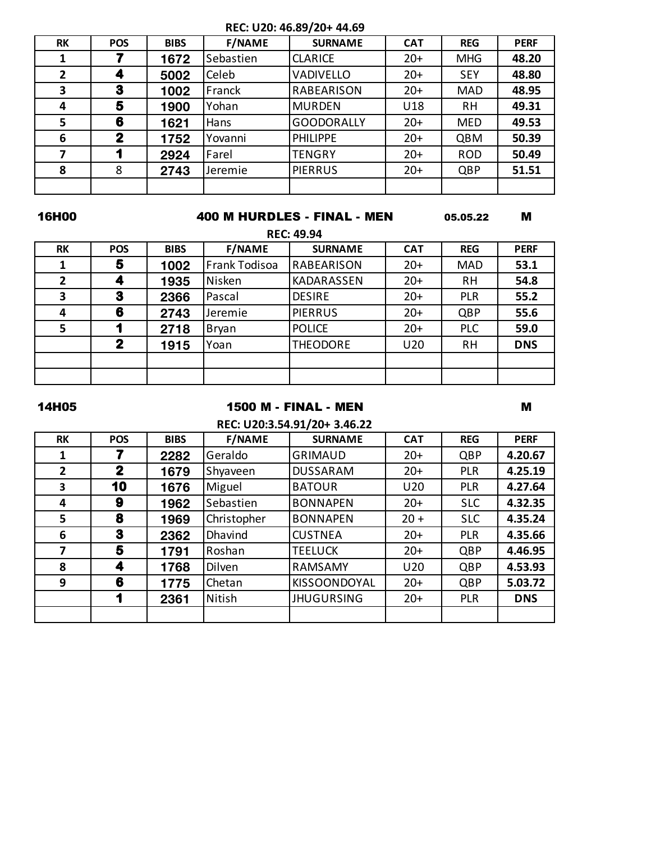## **REC: U20: 46.89/20+ 44.69**

| <b>RK</b>      | <b>POS</b>   | <b>BIBS</b> | <b>F/NAME</b> | <b>SURNAME</b>    | <b>CAT</b> | <b>REG</b> | <b>PERF</b> |
|----------------|--------------|-------------|---------------|-------------------|------------|------------|-------------|
| 1              |              | 1672        | Sebastien     | <b>CLARICE</b>    | $20+$      | <b>MHG</b> | 48.20       |
| $\overline{2}$ |              | 5002        | Celeb         | <b>VADIVELLO</b>  | $20+$      | <b>SEY</b> | 48.80       |
| 3              | 3            | 1002        | Franck        | <b>RABEARISON</b> | $20+$      | <b>MAD</b> | 48.95       |
| 4              | 5            | 1900        | Yohan         | <b>MURDEN</b>     | U18        | <b>RH</b>  | 49.31       |
| 5              | 6            | 1621        | Hans          | <b>GOODORALLY</b> | $20+$      | <b>MED</b> | 49.53       |
| 6              | $\mathbf{2}$ | 1752        | Yovanni       | <b>PHILIPPE</b>   | $20+$      | QBM        | 50.39       |
|                |              | 2924        | Farel         | <b>TENGRY</b>     | $20+$      | <b>ROD</b> | 50.49       |
| 8              | 8            | 2743        | Jeremie       | <b>PIERRUS</b>    | $20+$      | QBP        | 51.51       |
|                |              |             |               |                   |            |            |             |

#### 16H00 05.05.22 M 400 M HURDLES - FINAL - MEN

|           |             |             |               | <b>REC: 49.94</b> |            |            |             |
|-----------|-------------|-------------|---------------|-------------------|------------|------------|-------------|
| <b>RK</b> | <b>POS</b>  | <b>BIBS</b> | <b>F/NAME</b> | <b>SURNAME</b>    | <b>CAT</b> | <b>REG</b> | <b>PERF</b> |
| 1         | 5           | 1002        | Frank Todisoa | RABEARISON        | $20+$      | <b>MAD</b> | 53.1        |
| 2         | 4           | 1935        | Nisken        | <b>KADARASSEN</b> | $20+$      | <b>RH</b>  | 54.8        |
| 3         | 3           | 2366        | Pascal        | <b>DESIRE</b>     | $20+$      | <b>PLR</b> | 55.2        |
| 4         | 6           | 2743        | Jeremie       | <b>PIERRUS</b>    | $20+$      | QBP        | 55.6        |
| 5         |             | 2718        | Bryan         | <b>POLICE</b>     | $20+$      | <b>PLC</b> | 59.0        |
|           | $\mathbf 2$ | 1915        | Yoan          | <b>THEODORE</b>   | U20        | <b>RH</b>  | <b>DNS</b>  |
|           |             |             |               |                   |            |            |             |
|           |             |             |               |                   |            |            |             |

#### 14H05 M 1500 M - FINAL - MEN

|                |              |             |               | REC: U20:3.54.91/20+ 3.46.22 |            |            |             |
|----------------|--------------|-------------|---------------|------------------------------|------------|------------|-------------|
| <b>RK</b>      | <b>POS</b>   | <b>BIBS</b> | <b>F/NAME</b> | <b>SURNAME</b>               | <b>CAT</b> | <b>REG</b> | <b>PERF</b> |
| 1              |              | 2282        | Geraldo       | <b>GRIMAUD</b>               | $20+$      | QBP        | 4.20.67     |
| $\overline{2}$ | $\mathbf{2}$ | 1679        | Shyaveen      | <b>DUSSARAM</b>              | $20+$      | <b>PLR</b> | 4.25.19     |
| 3              | 10           | 1676        | Miguel        | <b>BATOUR</b>                | U20        | <b>PLR</b> | 4.27.64     |
| 4              | 9            | 1962        | Sebastien     | <b>BONNAPEN</b>              | $20+$      | <b>SLC</b> | 4.32.35     |
| 5              | 8            | 1969        | Christopher   | <b>BONNAPEN</b>              | $20 +$     | <b>SLC</b> | 4.35.24     |
| 6              | 3            | 2362        | Dhavind       | <b>CUSTNEA</b>               | $20+$      | <b>PLR</b> | 4.35.66     |
| 7              | 5            | 1791        | Roshan        | <b>TEELUCK</b>               | $20+$      | QBP        | 4.46.95     |
| 8              | 4            | 1768        | Dilven        | <b>RAMSAMY</b>               | U20        | QBP        | 4.53.93     |
| 9              | 6            | 1775        | Chetan        | KISSOONDOYAL                 | $20+$      | QBP        | 5.03.72     |
|                | 1            | 2361        | Nitish        | <b>JHUGURSING</b>            | $20+$      | <b>PLR</b> | <b>DNS</b>  |
|                |              |             |               |                              |            |            |             |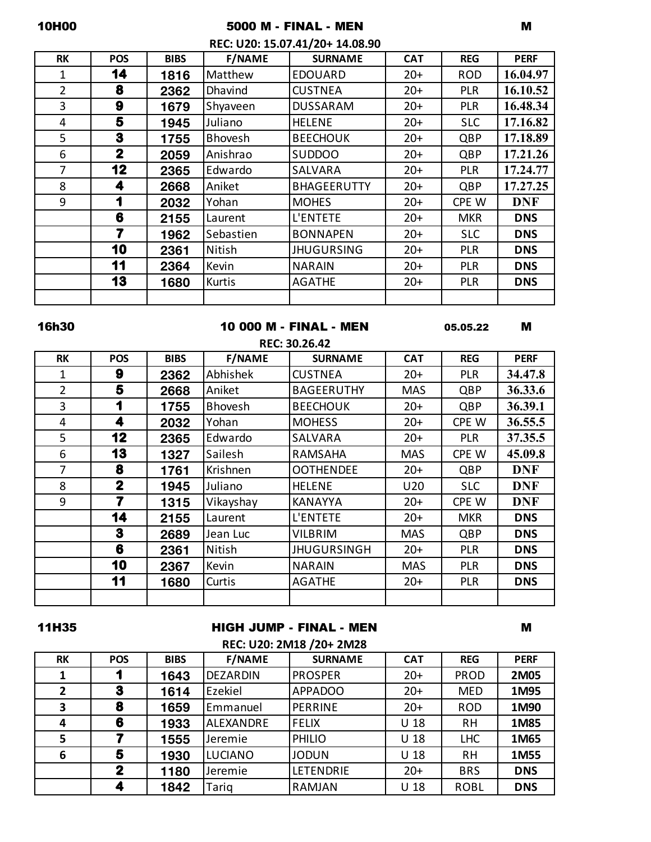### 10H00 M 5000 M - FINAL - MEN

| <b>RK</b>      | <b>POS</b>  | <b>BIBS</b> | <b>F/NAME</b>  | <b>SURNAME</b>     | <b>CAT</b> | <b>REG</b> | <b>PERF</b> |
|----------------|-------------|-------------|----------------|--------------------|------------|------------|-------------|
| 1              | 14          | 1816        | Matthew        | <b>EDOUARD</b>     | $20+$      | <b>ROD</b> | 16.04.97    |
| $\overline{2}$ | 8           | 2362        | Dhavind        | <b>CUSTNEA</b>     | $20+$      | <b>PLR</b> | 16.10.52    |
| 3              | 9           | 1679        | Shyaveen       | <b>DUSSARAM</b>    | $20+$      | <b>PLR</b> | 16.48.34    |
| 4              | 5           | 1945        | Juliano        | <b>HELENE</b>      | $20+$      | <b>SLC</b> | 17.16.82    |
| 5              | $\bf{3}$    | 1755        | <b>Bhovesh</b> | <b>BEECHOUK</b>    | $20+$      | QBP        | 17.18.89    |
| 6              | $\mathbf 2$ | 2059        | Anishrao       | <b>SUDDOO</b>      | $20+$      | QBP        | 17.21.26    |
| 7              | 12          | 2365        | Edwardo        | SALVARA            | $20+$      | <b>PLR</b> | 17.24.77    |
| 8              | 4           | 2668        | Aniket         | <b>BHAGEERUTTY</b> | $20+$      | QBP        | 17.27.25    |
| 9              | 1           | 2032        | Yohan          | <b>MOHES</b>       | $20+$      | CPE W      | <b>DNF</b>  |
|                | 6           | 2155        | Laurent        | L'ENTETE           | $20+$      | <b>MKR</b> | <b>DNS</b>  |
|                | 7           | 1962        | Sebastien      | <b>BONNAPEN</b>    | $20+$      | <b>SLC</b> | <b>DNS</b>  |
|                | 10          | 2361        | Nitish         | <b>JHUGURSING</b>  | $20+$      | <b>PLR</b> | <b>DNS</b>  |
|                | 11          | 2364        | Kevin          | <b>NARAIN</b>      | $20+$      | <b>PLR</b> | <b>DNS</b>  |
|                | 13          | 1680        | Kurtis         | <b>AGATHE</b>      | $20+$      | <b>PLR</b> | <b>DNS</b>  |
|                |             |             |                |                    |            |            |             |

#### 16h30 05.05.22 M 10 000 M - FINAL - MEN

|                |             |             |                | <b>REC: 30.26.42</b> |            |            |             |
|----------------|-------------|-------------|----------------|----------------------|------------|------------|-------------|
| <b>RK</b>      | POS         | <b>BIBS</b> | <b>F/NAME</b>  | <b>SURNAME</b>       | <b>CAT</b> | <b>REG</b> | <b>PERF</b> |
| 1              | 9           | 2362        | Abhishek       | <b>CUSTNEA</b>       | $20+$      | <b>PLR</b> | 34.47.8     |
| $\overline{2}$ | 5           | 2668        | Aniket         | <b>BAGEERUTHY</b>    | <b>MAS</b> | QBP        | 36.33.6     |
| 3              | 1           | 1755        | <b>Bhovesh</b> | <b>BEECHOUK</b>      | $20+$      | <b>QBP</b> | 36.39.1     |
| 4              | 4           | 2032        | Yohan          | <b>MOHESS</b>        | $20+$      | CPE W      | 36.55.5     |
| 5              | 12          | 2365        | Edwardo        | <b>SALVARA</b>       | $20+$      | <b>PLR</b> | 37.35.5     |
| 6              | 13          | 1327        | Sailesh        | <b>RAMSAHA</b>       | <b>MAS</b> | CPE W      | 45.09.8     |
| $\overline{7}$ | 8           | 1761        | Krishnen       | <b>OOTHENDEE</b>     | $20+$      | <b>QBP</b> | <b>DNF</b>  |
| 8              | $\mathbf 2$ | 1945        | Juliano        | <b>HELENE</b>        | U20        | <b>SLC</b> | <b>DNF</b>  |
| 9              | 7           | 1315        | Vikayshay      | <b>KANAYYA</b>       | $20+$      | CPE W      | <b>DNF</b>  |
|                | 14          | 2155        | Laurent        | <b>L'ENTETE</b>      | $20+$      | <b>MKR</b> | <b>DNS</b>  |
|                | 3           | 2689        | Jean Luc       | <b>VILBRIM</b>       | <b>MAS</b> | QBP        | <b>DNS</b>  |
|                | 6           | 2361        | Nitish         | <b>JHUGURSINGH</b>   | $20+$      | <b>PLR</b> | <b>DNS</b>  |
|                | 10          | 2367        | Kevin          | <b>NARAIN</b>        | <b>MAS</b> | <b>PLR</b> | <b>DNS</b>  |
|                | 11          | 1680        | Curtis         | <b>AGATHE</b>        | $20+$      | <b>PLR</b> | <b>DNS</b>  |
|                |             |             |                |                      |            |            |             |

#### 11H35 M HIGH JUMP - FINAL - MEN

|           |             |             |                  | REC: U20: 2M18 /20+ 2M28 |                 |             |             |
|-----------|-------------|-------------|------------------|--------------------------|-----------------|-------------|-------------|
| <b>RK</b> | <b>POS</b>  | <b>BIBS</b> | <b>F/NAME</b>    | <b>SURNAME</b>           | <b>CAT</b>      | <b>REG</b>  | <b>PERF</b> |
|           |             | 1643        | <b>DEZARDIN</b>  | <b>PROSPER</b>           | $20+$           | <b>PROD</b> | 2M05        |
| 2         | 3           | 1614        | Ezekiel          | <b>APPADOO</b>           | $20+$           | <b>MED</b>  | 1M95        |
| 3         | 8           | 1659        | Emmanuel         | <b>PERRINE</b>           | $20+$           | <b>ROD</b>  | 1M90        |
| 4         | 6           | 1933        | <b>ALEXANDRE</b> | <b>FELIX</b>             | U <sub>18</sub> | <b>RH</b>   | 1M85        |
| 5.        |             | 1555        | Jeremie          | PHILIO                   | U <sub>18</sub> | <b>LHC</b>  | 1M65        |
| 6         | 5           | 1930        | <b>LUCIANO</b>   | <b>JODUN</b>             | U <sub>18</sub> | <b>RH</b>   | 1M55        |
|           | $\mathbf 2$ | 1180        | Jeremie          | LETENDRIE                | $20+$           | <b>BRS</b>  | <b>DNS</b>  |
|           | 4           | 1842        | Tariq            | <b>RAMJAN</b>            | U <sub>18</sub> | <b>ROBL</b> | <b>DNS</b>  |